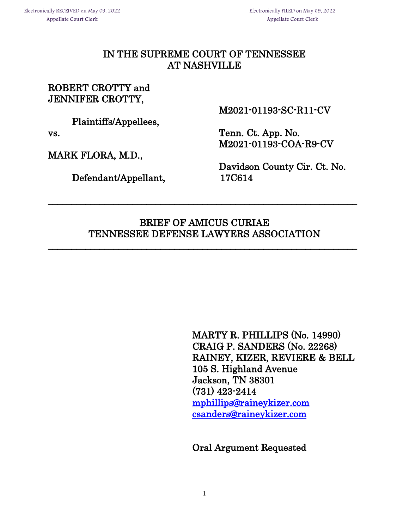### IN THE SUPREME COURT OF TENNESSEE AT NASHVILLE

### ROBERT CROTTY and JENNIFER CROTTY,

Plaintiffs/Appellees,

MARK FLORA, M.D.,

Defendant/Appellant, 17C614

M2021-01193-SC-R11-CV

vs. Tenn. Ct. App. No. M2021-01193-COA-R9-CV

Davidson County Cir. Ct. No.

## BRIEF OF AMICUS CURIAE TENNESSEE DEFENSE LAWYERS ASSOCIATION

 $\overline{\phantom{a}}$ 

\_\_\_\_\_\_\_\_\_\_\_\_\_\_\_\_\_\_\_\_\_\_\_\_\_\_\_\_\_\_\_\_\_\_\_\_\_\_\_\_\_\_\_\_\_\_\_\_\_\_\_\_\_\_\_\_\_\_\_\_\_\_\_\_\_\_

MARTY R. PHILLIPS (No. 14990) CRAIG P. SANDERS (No. 22268) RAINEY, KIZER, REVIERE & BELL 105 S. Highland Avenue Jackson, TN 38301 (731) 423-2414 [mphillips@raineykizer.com](mailto:mphillips@raineykizer.com)  [csanders@raineykizer.com](mailto:csanders@raineykizer.com) 

Oral Argument Requested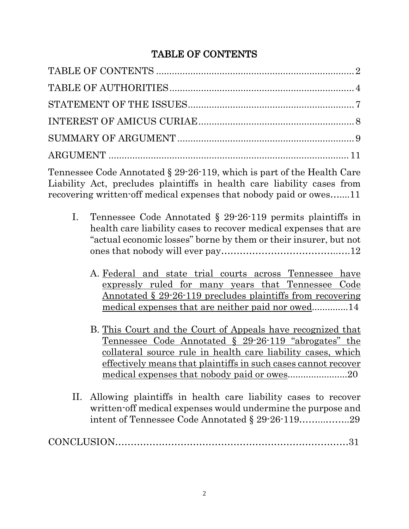# TABLE OF CONTENTS

Tennessee Code Annotated § 29-26-119, which is part of the Health Care Liability Act, precludes plaintiffs in health care liability cases from recovering written-off medical expenses that nobody paid or owes…....11

- I. Tennessee Code Annotated § 29-26-119 permits plaintiffs in health care liability cases to recover medical expenses that are "actual economic losses" borne by them or their insurer, but not ones that nobody will ever pay………………………………..….12
	- A. Federal and state trial courts across Tennessee have expressly ruled for many years that Tennessee Code Annotated § 29-26-119 precludes plaintiffs from recovering medical expenses that are neither paid nor owed..............14
	- B. This Court and the Court of Appeals have recognized that Tennessee Code Annotated § 29-26-119 "abrogates" the collateral source rule in health care liability cases, which effectively means that plaintiffs in such cases cannot recover medical expenses that nobody paid or owes............................20
- II. Allowing plaintiffs in health care liability cases to recover written-off medical expenses would undermine the purpose and intent of Tennessee Code Annotated § 29-26-119……...……..29

|--|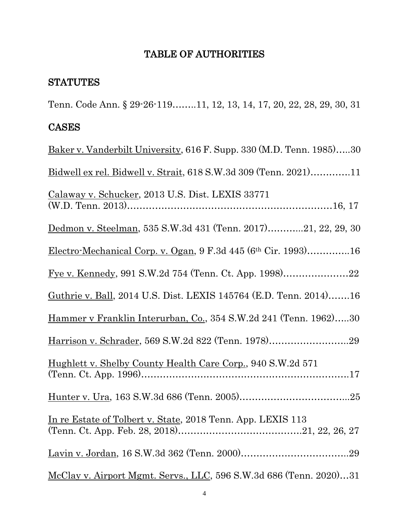### TABLE OF AUTHORITIES

#### **STATUTES**

Tenn. Code Ann. § 29-26-119……..11, 12, 13, 14, 17, 20, 22, 28, 29, 30, 31

#### CASES

Baker v. Vanderbilt University, 616 F. Supp. 330 (M.D. Tenn. 1985)…..30 Bidwell ex rel. Bidwell v. Strait, 618 S.W.3d 309 (Tenn. 2021)………….11 Calaway v. Schucker, 2013 U.S. Dist. LEXIS 33771 (W.D. Tenn. 2013)…………………………………………………………16, 17 Dedmon v. Steelman, 535 S.W.3d 431 (Tenn. 2017)………...21, 22, 29, 30 Electro-Mechanical Corp. v. Ogan, 9 F.3d 445 (6th Cir. 1993)…………..16 Fye v. Kennedy, 991 S.W.2d 754 (Tenn. Ct. App. 1998)…………………22 Guthrie v. Ball, 2014 U.S. Dist. LEXIS 145764 (E.D. Tenn. 2014)…….16 Hammer v Franklin Interurban, Co., 354 S.W.2d 241 (Tenn. 1962)…..30 Harrison v. Schrader, 569 S.W.2d 822 (Tenn. 1978)……………………..29 Hughlett v. Shelby County Health Care Corp., 940 S.W.2d 571 (Tenn. Ct. App. 1996)………………………………………………………….17 Hunter v. Ura, 163 S.W.3d 686 (Tenn. 2005)……………………………...25 In re Estate of Tolbert v. State, 2018 Tenn. App. LEXIS 113 (Tenn. Ct. App. Feb. 28, 2018)………………………………….21, 22, 26, 27 Lavin v. Jordan, 16 S.W.3d 362 (Tenn. 2000)……………………………..29 McClay v. Airport Mgmt. Servs., LLC, 596 S.W.3d 686 (Tenn. 2020)…31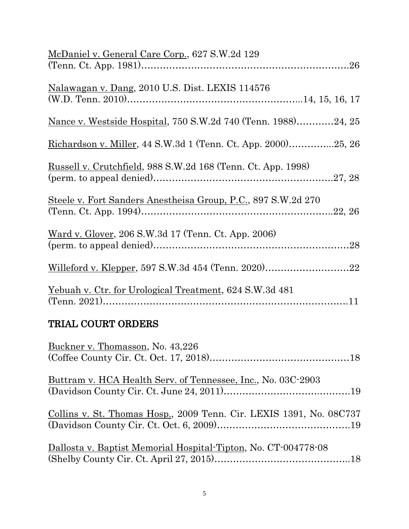| McDaniel v. General Care Corp., 627 S.W.2d 129                        |  |
|-----------------------------------------------------------------------|--|
| Nalawagan v. Dang, 2010 U.S. Dist. LEXIS 114576                       |  |
| Nance v. Westside Hospital, 750 S.W.2d 740 (Tenn. 1988)24, 25         |  |
| <u>Richardson v. Miller, 44 S.W.3d 1 (Tenn. Ct. App. 2000)</u> 25, 26 |  |
| Russell v. Crutchfield, 988 S.W.2d 168 (Tenn. Ct. App. 1998)          |  |
| Steele v. Fort Sanders Anestheisa Group, P.C., 897 S.W.2d 270         |  |
| Ward v. Glover, 206 S.W.3d 17 (Tenn. Ct. App. 2006)                   |  |
|                                                                       |  |
| <u>Yebuah v. Ctr. for Urological Treatment, 624 S.W.3d 481</u>        |  |

# TRIAL COURT ORDERS

| Buckner v. Thomasson, No. 43,226                                    |
|---------------------------------------------------------------------|
| Buttram v. HCA Health Serv. of Tennessee, Inc., No. 03C-2903        |
|                                                                     |
| Collins v. St. Thomas Hosp., 2009 Tenn. Cir. LEXIS 1391, No. 08C737 |
| Dallosta v. Baptist Memorial Hospital-Tipton, No. CT-004778-08      |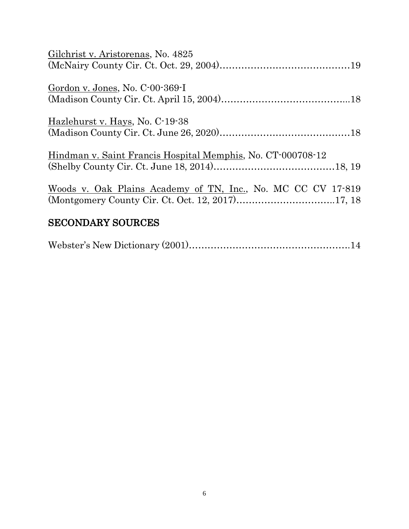| Gilchrist v. Aristorenas, No. 4825                           |  |
|--------------------------------------------------------------|--|
|                                                              |  |
| Gordon v. Jones, No. C-00-369-I                              |  |
|                                                              |  |
| Hazlehurst v. Hays, No. C-19-38                              |  |
|                                                              |  |
| Hindman v. Saint Francis Hospital Memphis, No. CT-000708-12  |  |
|                                                              |  |
| Woods v. Oak Plains Academy of TN, Inc., No. MC CC CV 17-819 |  |
|                                                              |  |
| <b>SECONDARY SOURCES</b>                                     |  |

|--|--|--|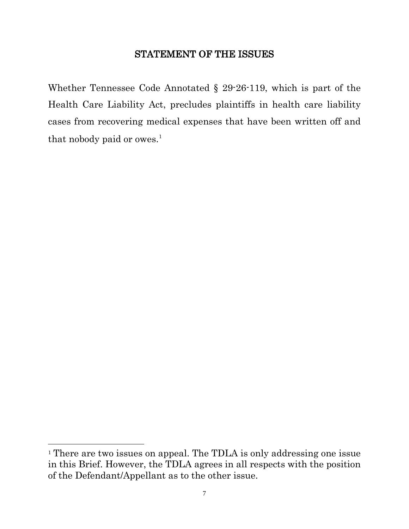### STATEMENT OF THE ISSUES

Whether Tennessee Code Annotated § 29-26-119, which is part of the Health Care Liability Act, precludes plaintiffs in health care liability cases from recovering medical expenses that have been written off and that nobody paid or owes.<sup>[1](#page-6-0)</sup>

 $\overline{a}$ 

<span id="page-6-0"></span><sup>&</sup>lt;sup>1</sup> There are two issues on appeal. The TDLA is only addressing one issue in this Brief. However, the TDLA agrees in all respects with the position of the Defendant/Appellant as to the other issue.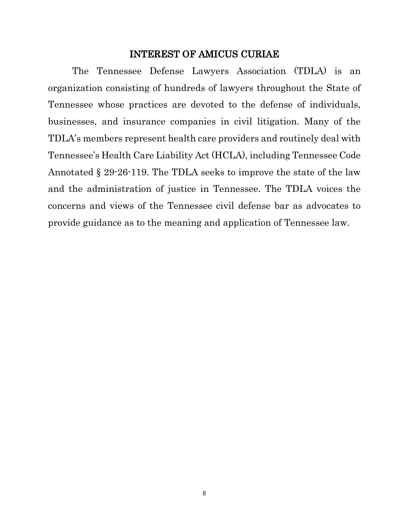#### INTEREST OF AMICUS CURIAE

The Tennessee Defense Lawyers Association (TDLA) is an organization consisting of hundreds of lawyers throughout the State of Tennessee whose practices are devoted to the defense of individuals, businesses, and insurance companies in civil litigation. Many of the TDLA's members represent health care providers and routinely deal with Tennessee's Health Care Liability Act (HCLA), including Tennessee Code Annotated § 29-26-119. The TDLA seeks to improve the state of the law and the administration of justice in Tennessee. The TDLA voices the concerns and views of the Tennessee civil defense bar as advocates to provide guidance as to the meaning and application of Tennessee law.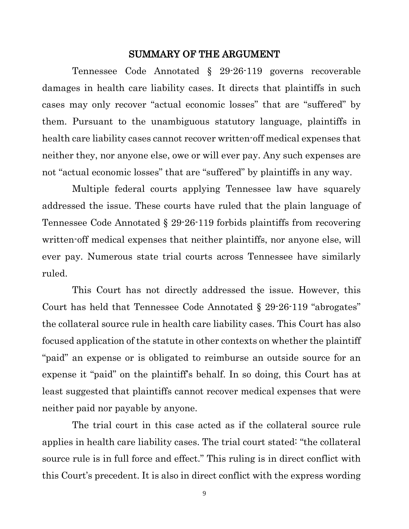#### SUMMARY OF THE ARGUMENT

Tennessee Code Annotated § 29-26-119 governs recoverable damages in health care liability cases. It directs that plaintiffs in such cases may only recover "actual economic losses" that are "suffered" by them. Pursuant to the unambiguous statutory language, plaintiffs in health care liability cases cannot recover written-off medical expenses that neither they, nor anyone else, owe or will ever pay. Any such expenses are not "actual economic losses" that are "suffered" by plaintiffs in any way.

Multiple federal courts applying Tennessee law have squarely addressed the issue. These courts have ruled that the plain language of Tennessee Code Annotated § 29-26-119 forbids plaintiffs from recovering written-off medical expenses that neither plaintiffs, nor anyone else, will ever pay. Numerous state trial courts across Tennessee have similarly ruled.

This Court has not directly addressed the issue. However, this Court has held that Tennessee Code Annotated § 29-26-119 "abrogates" the collateral source rule in health care liability cases. This Court has also focused application of the statute in other contexts on whether the plaintiff "paid" an expense or is obligated to reimburse an outside source for an expense it "paid" on the plaintiff's behalf. In so doing, this Court has at least suggested that plaintiffs cannot recover medical expenses that were neither paid nor payable by anyone.

The trial court in this case acted as if the collateral source rule applies in health care liability cases. The trial court stated: "the collateral source rule is in full force and effect." This ruling is in direct conflict with this Court's precedent. It is also in direct conflict with the express wording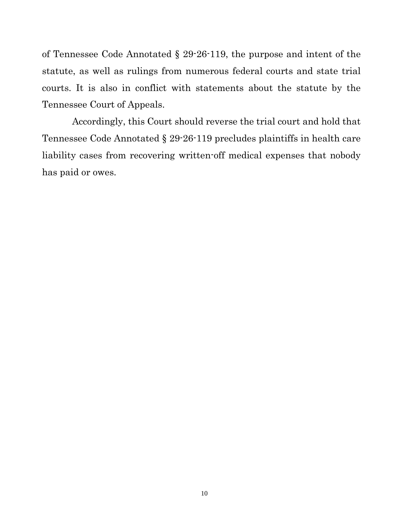of Tennessee Code Annotated § 29-26-119, the purpose and intent of the statute, as well as rulings from numerous federal courts and state trial courts. It is also in conflict with statements about the statute by the Tennessee Court of Appeals.

Accordingly, this Court should reverse the trial court and hold that Tennessee Code Annotated § 29-26-119 precludes plaintiffs in health care liability cases from recovering written-off medical expenses that nobody has paid or owes.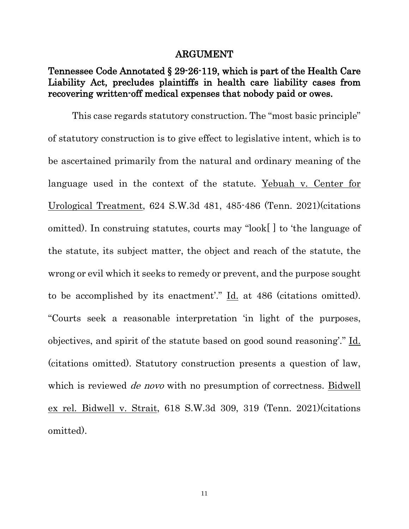#### ARGUMENT

### Tennessee Code Annotated § 29-26-119, which is part of the Health Care Liability Act, precludes plaintiffs in health care liability cases from recovering written-off medical expenses that nobody paid or owes.

This case regards statutory construction. The "most basic principle" of statutory construction is to give effect to legislative intent, which is to be ascertained primarily from the natural and ordinary meaning of the language used in the context of the statute. Yebuah v. Center for Urological Treatment, 624 S.W.3d 481, 485-486 (Tenn. 2021)(citations omitted). In construing statutes, courts may "look[ ] to 'the language of the statute, its subject matter, the object and reach of the statute, the wrong or evil which it seeks to remedy or prevent, and the purpose sought to be accomplished by its enactment'." Id. at 486 (citations omitted). "Courts seek a reasonable interpretation 'in light of the purposes, objectives, and spirit of the statute based on good sound reasoning'." Id. (citations omitted). Statutory construction presents a question of law, which is reviewed *de novo* with no presumption of correctness. Bidwell ex rel. Bidwell v. Strait, 618 S.W.3d 309, 319 (Tenn. 2021)(citations omitted).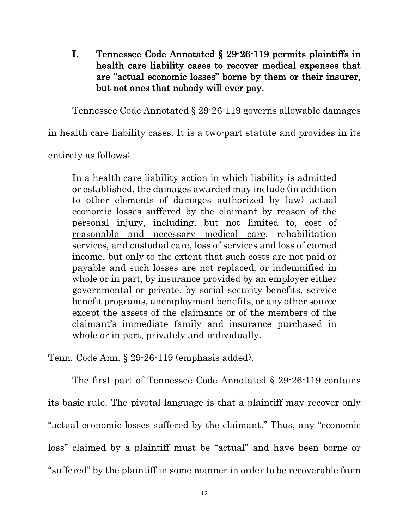I. Tennessee Code Annotated § 29-26-119 permits plaintiffs in health care liability cases to recover medical expenses that are "actual economic losses" borne by them or their insurer, but not ones that nobody will ever pay.

Tennessee Code Annotated § 29-26-119 governs allowable damages

in health care liability cases. It is a two-part statute and provides in its

entirety as follows:

In a health care liability action in which liability is admitted or established, the damages awarded may include (in addition to other elements of damages authorized by law) actual economic losses suffered by the claimant by reason of the personal injury, including, but not limited to, cost of reasonable and necessary medical care, rehabilitation services, and custodial care, loss of services and loss of earned income, but only to the extent that such costs are not paid or payable and such losses are not replaced, or indemnified in whole or in part, by insurance provided by an employer either governmental or private, by social security benefits, service benefit programs, unemployment benefits, or any other source except the assets of the claimants or of the members of the claimant's immediate family and insurance purchased in whole or in part, privately and individually.

Tenn. Code Ann. § 29-26-119 (emphasis added).

The first part of Tennessee Code Annotated § 29-26-119 contains its basic rule. The pivotal language is that a plaintiff may recover only "actual economic losses suffered by the claimant." Thus, any "economic loss" claimed by a plaintiff must be "actual" and have been borne or "suffered" by the plaintiff in some manner in order to be recoverable from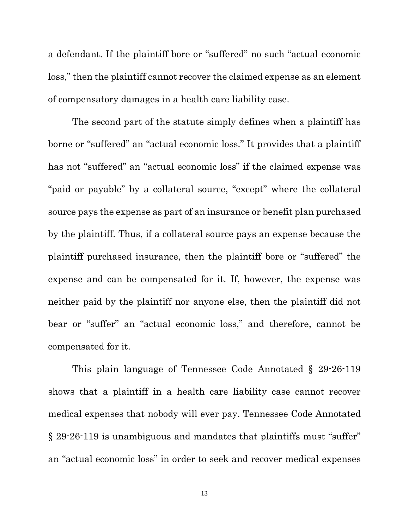a defendant. If the plaintiff bore or "suffered" no such "actual economic loss," then the plaintiff cannot recover the claimed expense as an element of compensatory damages in a health care liability case.

The second part of the statute simply defines when a plaintiff has borne or "suffered" an "actual economic loss." It provides that a plaintiff has not "suffered" an "actual economic loss" if the claimed expense was "paid or payable" by a collateral source, "except" where the collateral source pays the expense as part of an insurance or benefit plan purchased by the plaintiff. Thus, if a collateral source pays an expense because the plaintiff purchased insurance, then the plaintiff bore or "suffered" the expense and can be compensated for it. If, however, the expense was neither paid by the plaintiff nor anyone else, then the plaintiff did not bear or "suffer" an "actual economic loss," and therefore, cannot be compensated for it.

This plain language of Tennessee Code Annotated § 29-26-119 shows that a plaintiff in a health care liability case cannot recover medical expenses that nobody will ever pay. Tennessee Code Annotated § 29-26-119 is unambiguous and mandates that plaintiffs must "suffer" an "actual economic loss" in order to seek and recover medical expenses

13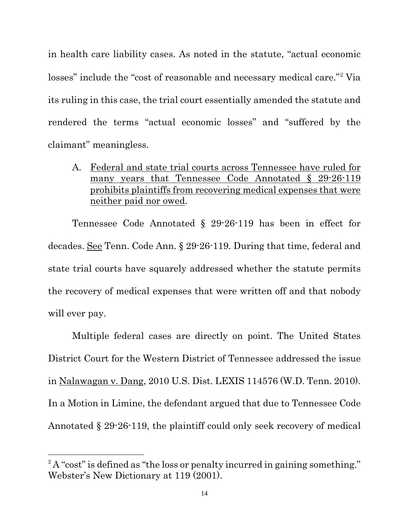in health care liability cases. As noted in the statute, "actual economic losses" include the "cost of reasonable and necessary medical care."[2](#page-13-0) Via its ruling in this case, the trial court essentially amended the statute and rendered the terms "actual economic losses" and "suffered by the claimant" meaningless.

A. Federal and state trial courts across Tennessee have ruled for many years that Tennessee Code Annotated § 29-26-119 prohibits plaintiffs from recovering medical expenses that were neither paid nor owed.

Tennessee Code Annotated § 29-26-119 has been in effect for decades. See Tenn. Code Ann. § 29-26-119. During that time, federal and state trial courts have squarely addressed whether the statute permits the recovery of medical expenses that were written off and that nobody will ever pay.

Multiple federal cases are directly on point. The United States District Court for the Western District of Tennessee addressed the issue in Nalawagan v. Dang, 2010 U.S. Dist. LEXIS 114576 (W.D. Tenn. 2010). In a Motion in Limine, the defendant argued that due to Tennessee Code Annotated § 29-26-119, the plaintiff could only seek recovery of medical

 $\overline{a}$ 

<span id="page-13-0"></span><sup>&</sup>lt;sup>2</sup>A "cost" is defined as "the loss or penalty incurred in gaining something." Webster's New Dictionary at 119 (2001).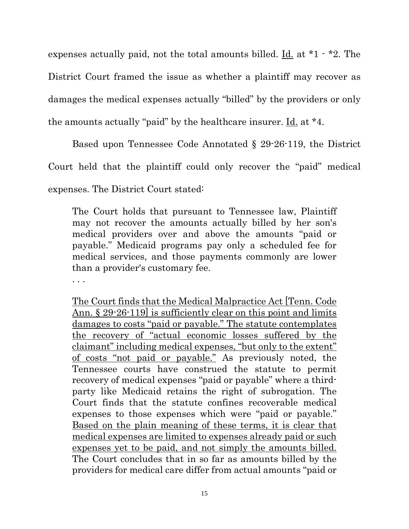expenses actually paid, not the total amounts billed. <u>Id.</u> at  $*1 - *2$ . The District Court framed the issue as whether a plaintiff may recover as damages the medical expenses actually "billed" by the providers or only the amounts actually "paid" by the healthcare insurer. Id. at \*4.

Based upon Tennessee Code Annotated § 29-26-119, the District

Court held that the plaintiff could only recover the "paid" medical

expenses. The District Court stated:

The Court holds that pursuant to Tennessee law, Plaintiff may not recover the amounts actually billed by her son's medical providers over and above the amounts "paid or payable." Medicaid programs pay only a scheduled fee for medical services, and those payments commonly are lower than a provider's customary fee.

. . .

The Court finds that the Medical Malpractice Act [Tenn. Code Ann. § 29-26-119 is sufficiently clear on this point and limits damages to costs "paid or payable." The statute contemplates the recovery of "actual economic losses suffered by the claimant" including medical expenses, "but only to the extent" of costs "not paid or payable." As previously noted, the Tennessee courts have construed the statute to permit recovery of medical expenses "paid or payable" where a thirdparty like Medicaid retains the right of subrogation. The Court finds that the statute confines recoverable medical expenses to those expenses which were "paid or payable." Based on the plain meaning of these terms, it is clear that medical expenses are limited to expenses already paid or such expenses yet to be paid, and not simply the amounts billed. The Court concludes that in so far as amounts billed by the providers for medical care differ from actual amounts "paid or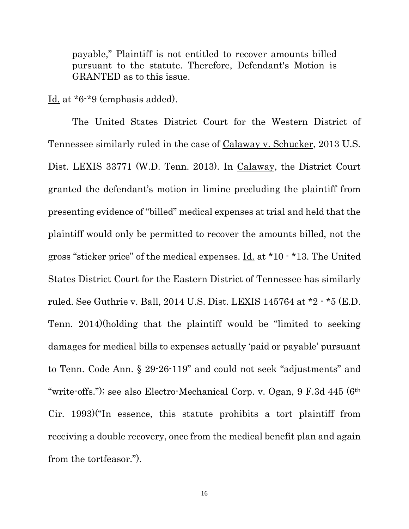payable," Plaintiff is not entitled to recover amounts billed pursuant to the statute. Therefore, Defendant's Motion is GRANTED as to this issue.

Id. at \*6-\*9 (emphasis added).

The United States District Court for the Western District of Tennessee similarly ruled in the case of Calaway v. Schucker, 2013 U.S. Dist. LEXIS 33771 (W.D. Tenn. 2013). In Calaway, the District Court granted the defendant's motion in limine precluding the plaintiff from presenting evidence of "billed" medical expenses at trial and held that the plaintiff would only be permitted to recover the amounts billed, not the gross "sticker price" of the medical expenses. Id. at \*10 - \*13. The United States District Court for the Eastern District of Tennessee has similarly ruled. See Guthrie v. Ball, 2014 U.S. Dist. LEXIS 145764 at \*2 - \*5 (E.D. Tenn. 2014)(holding that the plaintiff would be "limited to seeking damages for medical bills to expenses actually 'paid or payable' pursuant to Tenn. Code Ann. § 29-26-119" and could not seek "adjustments" and "write-offs."); <u>see also Electro-Mechanical Corp. v. Ogan</u>, 9 F.3d 445 (6<sup>th</sup> Cir. 1993)("In essence, this statute prohibits a tort plaintiff from receiving a double recovery, once from the medical benefit plan and again from the tortfeasor.").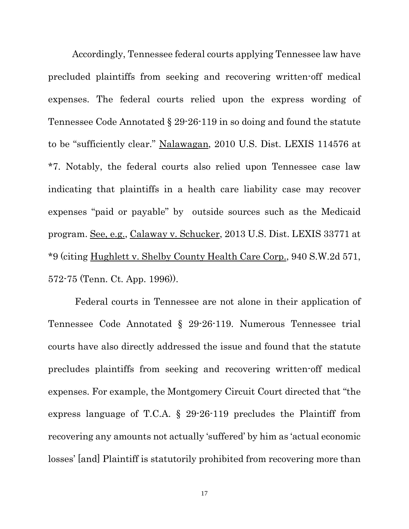Accordingly, Tennessee federal courts applying Tennessee law have precluded plaintiffs from seeking and recovering written-off medical expenses. The federal courts relied upon the express wording of Tennessee Code Annotated § 29-26-119 in so doing and found the statute to be "sufficiently clear." Nalawagan, 2010 U.S. Dist. LEXIS 114576 at \*7. Notably, the federal courts also relied upon Tennessee case law indicating that plaintiffs in a health care liability case may recover expenses "paid or payable" by outside sources such as the Medicaid program. See, e.g., Calaway v. Schucker, 2013 U.S. Dist. LEXIS 33771 at \*9 (citing Hughlett v. Shelby County Health Care Corp., 940 S.W.2d 571, 572-75 (Tenn. Ct. App. 1996)).

Federal courts in Tennessee are not alone in their application of Tennessee Code Annotated § 29-26-119. Numerous Tennessee trial courts have also directly addressed the issue and found that the statute precludes plaintiffs from seeking and recovering written-off medical expenses. For example, the Montgomery Circuit Court directed that "the express language of T.C.A. § 29-26-119 precludes the Plaintiff from recovering any amounts not actually 'suffered' by him as 'actual economic losses' [and] Plaintiff is statutorily prohibited from recovering more than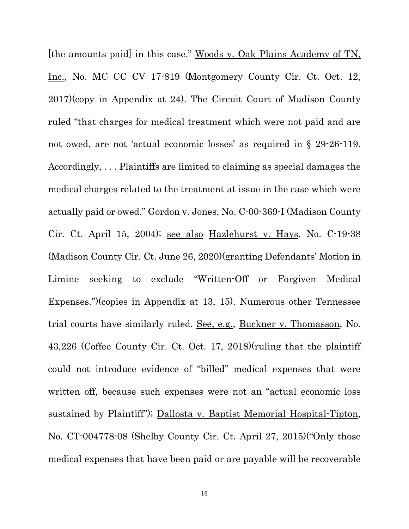[the amounts paid] in this case." Woods v. Oak Plains Academy of TN, Inc., No. MC CC CV 17-819 (Montgomery County Cir. Ct. Oct. 12, 2017)(copy in Appendix at 24). The Circuit Court of Madison County ruled "that charges for medical treatment which were not paid and are not owed, are not 'actual economic losses' as required in § 29-26-119. Accordingly, . . . Plaintiffs are limited to claiming as special damages the medical charges related to the treatment at issue in the case which were actually paid or owed." Gordon v. Jones, No. C-00-369-I (Madison County Cir. Ct. April 15, 2004); see also Hazlehurst v. Hays, No. C-19-38 (Madison County Cir. Ct. June 26, 2020)(granting Defendants' Motion in Limine seeking to exclude "Written-Off or Forgiven Medical Expenses.")(copies in Appendix at 13, 15). Numerous other Tennessee trial courts have similarly ruled. See, e.g., Buckner v. Thomasson, No. 43,226 (Coffee County Cir. Ct. Oct. 17, 2018)(ruling that the plaintiff could not introduce evidence of "billed" medical expenses that were written off, because such expenses were not an "actual economic loss sustained by Plaintiff"); Dallosta v. Baptist Memorial Hospital-Tipton, No. CT-004778-08 (Shelby County Cir. Ct. April 27, 2015)("Only those medical expenses that have been paid or are payable will be recoverable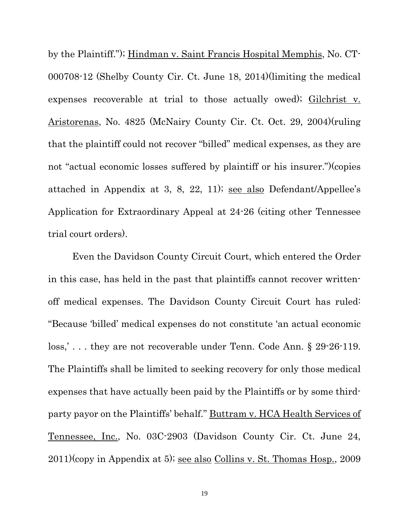by the Plaintiff."); Hindman v. Saint Francis Hospital Memphis, No. CT-000708-12 (Shelby County Cir. Ct. June 18, 2014)(limiting the medical expenses recoverable at trial to those actually owed); Gilchrist v. Aristorenas, No. 4825 (McNairy County Cir. Ct. Oct. 29, 2004)(ruling that the plaintiff could not recover "billed" medical expenses, as they are not "actual economic losses suffered by plaintiff or his insurer.")(copies attached in Appendix at 3, 8, 22, 11); see also Defendant/Appellee's Application for Extraordinary Appeal at 24-26 (citing other Tennessee trial court orders).

Even the Davidson County Circuit Court, which entered the Order in this case, has held in the past that plaintiffs cannot recover writtenoff medical expenses. The Davidson County Circuit Court has ruled: "Because 'billed' medical expenses do not constitute 'an actual economic loss,'... they are not recoverable under Tenn. Code Ann. § 29-26-119. The Plaintiffs shall be limited to seeking recovery for only those medical expenses that have actually been paid by the Plaintiffs or by some thirdparty payor on the Plaintiffs' behalf." Buttram v. HCA Health Services of Tennessee, Inc., No. 03C-2903 (Davidson County Cir. Ct. June 24, 2011)(copy in Appendix at 5); see also Collins v. St. Thomas Hosp., 2009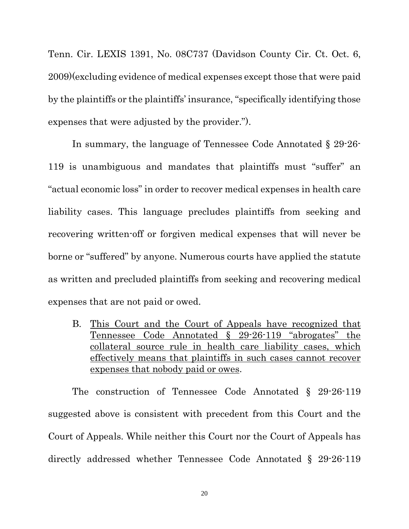Tenn. Cir. LEXIS 1391, No. 08C737 (Davidson County Cir. Ct. Oct. 6, 2009)(excluding evidence of medical expenses except those that were paid by the plaintiffs or the plaintiffs' insurance, "specifically identifying those expenses that were adjusted by the provider.").

In summary, the language of Tennessee Code Annotated § 29-26- 119 is unambiguous and mandates that plaintiffs must "suffer" an "actual economic loss" in order to recover medical expenses in health care liability cases. This language precludes plaintiffs from seeking and recovering written-off or forgiven medical expenses that will never be borne or "suffered" by anyone. Numerous courts have applied the statute as written and precluded plaintiffs from seeking and recovering medical expenses that are not paid or owed.

B. This Court and the Court of Appeals have recognized that Tennessee Code Annotated § 29-26-119 "abrogates" the collateral source rule in health care liability cases, which effectively means that plaintiffs in such cases cannot recover expenses that nobody paid or owes.

The construction of Tennessee Code Annotated § 29-26-119 suggested above is consistent with precedent from this Court and the Court of Appeals. While neither this Court nor the Court of Appeals has directly addressed whether Tennessee Code Annotated § 29-26-119

20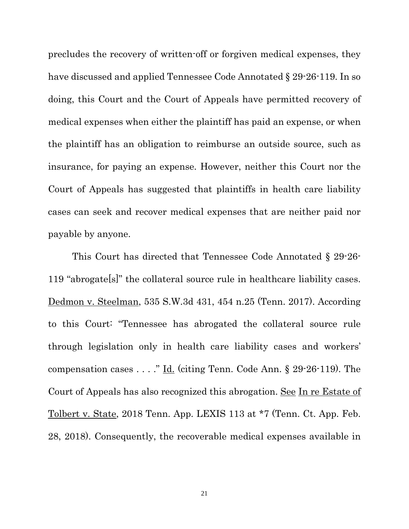precludes the recovery of written-off or forgiven medical expenses, they have discussed and applied Tennessee Code Annotated § 29-26-119. In so doing, this Court and the Court of Appeals have permitted recovery of medical expenses when either the plaintiff has paid an expense, or when the plaintiff has an obligation to reimburse an outside source, such as insurance, for paying an expense. However, neither this Court nor the Court of Appeals has suggested that plaintiffs in health care liability cases can seek and recover medical expenses that are neither paid nor payable by anyone.

This Court has directed that Tennessee Code Annotated § 29-26- 119 "abrogate[s]" the collateral source rule in healthcare liability cases. Dedmon v. Steelman, 535 S.W.3d 431, 454 n.25 (Tenn. 2017). According to this Court: "Tennessee has abrogated the collateral source rule through legislation only in health care liability cases and workers' compensation cases . . . ." Id. (citing Tenn. Code Ann. § 29-26-119). The Court of Appeals has also recognized this abrogation. See In re Estate of Tolbert v. State, 2018 Tenn. App. LEXIS 113 at \*7 (Tenn. Ct. App. Feb. 28, 2018). Consequently, the recoverable medical expenses available in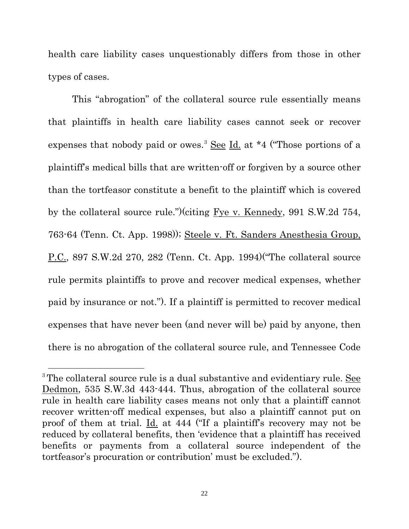health care liability cases unquestionably differs from those in other types of cases.

This "abrogation" of the collateral source rule essentially means that plaintiffs in health care liability cases cannot seek or recover expenses that nobody paid or owes.<sup>[3](#page-21-0)</sup> See Id. at \*4 ("Those portions of a plaintiff's medical bills that are written-off or forgiven by a source other than the tortfeasor constitute a benefit to the plaintiff which is covered by the collateral source rule.")(citing Fye v. Kennedy, 991 S.W.2d 754, 763-64 (Tenn. Ct. App. 1998)); Steele v. Ft. Sanders Anesthesia Group, P.C., 897 S.W.2d 270, 282 (Tenn. Ct. App. 1994)("The collateral source rule permits plaintiffs to prove and recover medical expenses, whether paid by insurance or not."). If a plaintiff is permitted to recover medical expenses that have never been (and never will be) paid by anyone, then there is no abrogation of the collateral source rule, and Tennessee Code

 $\overline{a}$ 

<span id="page-21-0"></span><sup>&</sup>lt;sup>3</sup> The collateral source rule is a dual substantive and evidentiary rule. See Dedmon, 535 S.W.3d 443-444. Thus, abrogation of the collateral source rule in health care liability cases means not only that a plaintiff cannot recover written-off medical expenses, but also a plaintiff cannot put on proof of them at trial. Id. at 444 ("If a plaintiff's recovery may not be reduced by collateral benefits, then 'evidence that a plaintiff has received benefits or payments from a collateral source independent of the tortfeasor's procuration or contribution' must be excluded.").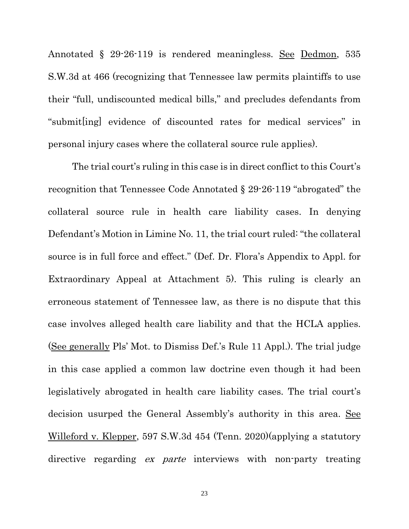Annotated § 29-26-119 is rendered meaningless. See Dedmon, 535 S.W.3d at 466 (recognizing that Tennessee law permits plaintiffs to use their "full, undiscounted medical bills," and precludes defendants from "submit[ing] evidence of discounted rates for medical services" in personal injury cases where the collateral source rule applies).

The trial court's ruling in this case is in direct conflict to this Court's recognition that Tennessee Code Annotated § 29-26-119 "abrogated" the collateral source rule in health care liability cases. In denying Defendant's Motion in Limine No. 11, the trial court ruled: "the collateral source is in full force and effect." (Def. Dr. Flora's Appendix to Appl. for Extraordinary Appeal at Attachment 5). This ruling is clearly an erroneous statement of Tennessee law, as there is no dispute that this case involves alleged health care liability and that the HCLA applies. (See generally Pls' Mot. to Dismiss Def.'s Rule 11 Appl.). The trial judge in this case applied a common law doctrine even though it had been legislatively abrogated in health care liability cases. The trial court's decision usurped the General Assembly's authority in this area. See Willeford v. Klepper, 597 S.W.3d 454 (Tenn. 2020)(applying a statutory directive regarding *ex parte* interviews with non-party treating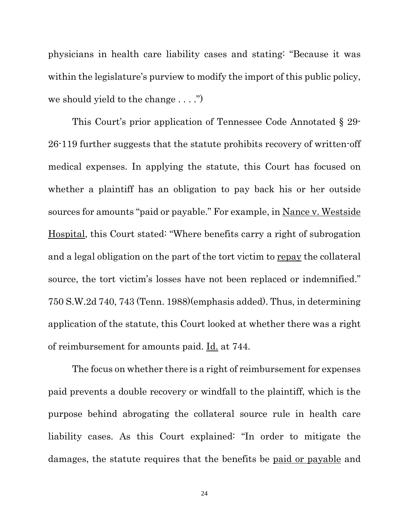physicians in health care liability cases and stating: "Because it was within the legislature's purview to modify the import of this public policy, we should yield to the change . . . .")

This Court's prior application of Tennessee Code Annotated § 29- 26-119 further suggests that the statute prohibits recovery of written-off medical expenses. In applying the statute, this Court has focused on whether a plaintiff has an obligation to pay back his or her outside sources for amounts "paid or payable." For example, in Nance v. Westside Hospital, this Court stated: "Where benefits carry a right of subrogation and a legal obligation on the part of the tort victim to repay the collateral source, the tort victim's losses have not been replaced or indemnified." 750 S.W.2d 740, 743 (Tenn. 1988)(emphasis added). Thus, in determining application of the statute, this Court looked at whether there was a right of reimbursement for amounts paid. Id. at 744.

The focus on whether there is a right of reimbursement for expenses paid prevents a double recovery or windfall to the plaintiff, which is the purpose behind abrogating the collateral source rule in health care liability cases. As this Court explained: "In order to mitigate the damages, the statute requires that the benefits be paid or payable and

24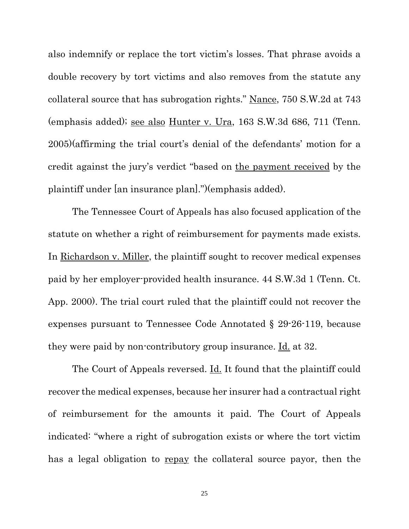also indemnify or replace the tort victim's losses. That phrase avoids a double recovery by tort victims and also removes from the statute any collateral source that has subrogation rights." Nance, 750 S.W.2d at 743 (emphasis added); see also Hunter v. Ura, 163 S.W.3d 686, 711 (Tenn. 2005)(affirming the trial court's denial of the defendants' motion for a credit against the jury's verdict "based on the payment received by the plaintiff under [an insurance plan].")(emphasis added).

The Tennessee Court of Appeals has also focused application of the statute on whether a right of reimbursement for payments made exists. In Richardson v. Miller, the plaintiff sought to recover medical expenses paid by her employer-provided health insurance. 44 S.W.3d 1 (Tenn. Ct. App. 2000). The trial court ruled that the plaintiff could not recover the expenses pursuant to Tennessee Code Annotated § 29-26-119, because they were paid by non-contributory group insurance. Id. at 32.

The Court of Appeals reversed. Id. It found that the plaintiff could recover the medical expenses, because her insurer had a contractual right of reimbursement for the amounts it paid. The Court of Appeals indicated: "where a right of subrogation exists or where the tort victim has a legal obligation to repay the collateral source payor, then the

25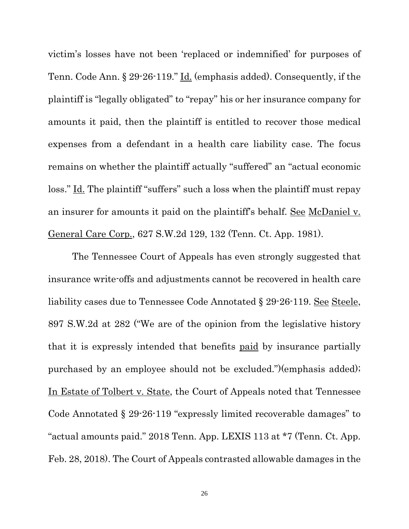victim's losses have not been 'replaced or indemnified' for purposes of Tenn. Code Ann. § 29-26-119." Id. (emphasis added). Consequently, if the plaintiff is "legally obligated" to "repay" his or her insurance company for amounts it paid, then the plaintiff is entitled to recover those medical expenses from a defendant in a health care liability case. The focus remains on whether the plaintiff actually "suffered" an "actual economic loss." Id. The plaintiff "suffers" such a loss when the plaintiff must repay an insurer for amounts it paid on the plaintiff's behalf. See McDaniel v. General Care Corp., 627 S.W.2d 129, 132 (Tenn. Ct. App. 1981).

The Tennessee Court of Appeals has even strongly suggested that insurance write-offs and adjustments cannot be recovered in health care liability cases due to Tennessee Code Annotated § 29-26-119. See Steele, 897 S.W.2d at 282 ("We are of the opinion from the legislative history that it is expressly intended that benefits paid by insurance partially purchased by an employee should not be excluded.")(emphasis added); In Estate of Tolbert v. State, the Court of Appeals noted that Tennessee Code Annotated § 29-26-119 "expressly limited recoverable damages" to "actual amounts paid." 2018 Tenn. App. LEXIS 113 at \*7 (Tenn. Ct. App. Feb. 28, 2018). The Court of Appeals contrasted allowable damages in the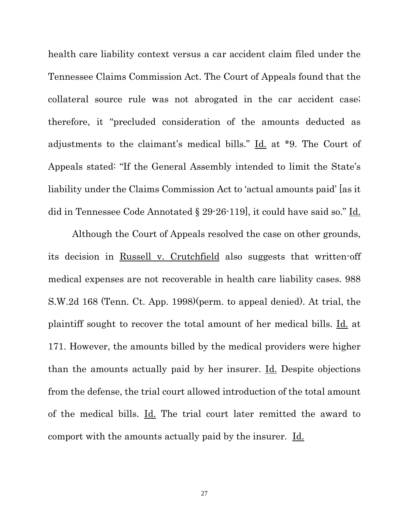health care liability context versus a car accident claim filed under the Tennessee Claims Commission Act. The Court of Appeals found that the collateral source rule was not abrogated in the car accident case; therefore, it "precluded consideration of the amounts deducted as adjustments to the claimant's medical bills." Id. at \*9. The Court of Appeals stated: "If the General Assembly intended to limit the State's liability under the Claims Commission Act to 'actual amounts paid' [as it did in Tennessee Code Annotated § 29-26-119], it could have said so." Id.

Although the Court of Appeals resolved the case on other grounds, its decision in Russell v. Crutchfield also suggests that written-off medical expenses are not recoverable in health care liability cases. 988 S.W.2d 168 (Tenn. Ct. App. 1998)(perm. to appeal denied). At trial, the plaintiff sought to recover the total amount of her medical bills. Id. at 171. However, the amounts billed by the medical providers were higher than the amounts actually paid by her insurer. Id. Despite objections from the defense, the trial court allowed introduction of the total amount of the medical bills. Id. The trial court later remitted the award to comport with the amounts actually paid by the insurer. Id.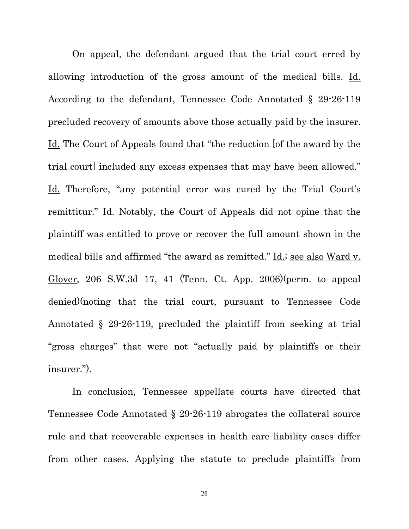On appeal, the defendant argued that the trial court erred by allowing introduction of the gross amount of the medical bills. Id. According to the defendant, Tennessee Code Annotated § 29-26-119 precluded recovery of amounts above those actually paid by the insurer. Id. The Court of Appeals found that "the reduction [of the award by the trial court] included any excess expenses that may have been allowed." Id. Therefore, "any potential error was cured by the Trial Court's remittitur." Id. Notably, the Court of Appeals did not opine that the plaintiff was entitled to prove or recover the full amount shown in the medical bills and affirmed "the award as remitted." Id.; see also Ward v. Glover, 206 S.W.3d 17, 41 (Tenn. Ct. App. 2006)(perm. to appeal denied)(noting that the trial court, pursuant to Tennessee Code Annotated § 29-26-119, precluded the plaintiff from seeking at trial "gross charges" that were not "actually paid by plaintiffs or their insurer.").

In conclusion, Tennessee appellate courts have directed that Tennessee Code Annotated § 29-26-119 abrogates the collateral source rule and that recoverable expenses in health care liability cases differ from other cases. Applying the statute to preclude plaintiffs from

28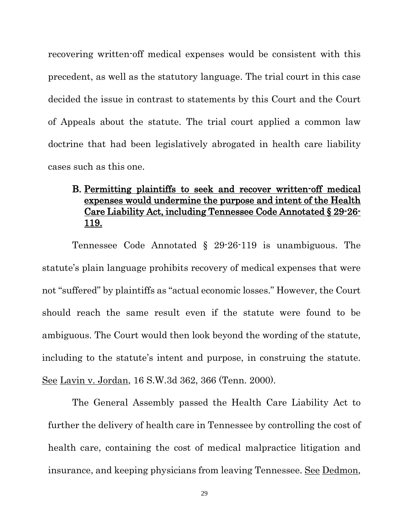recovering written-off medical expenses would be consistent with this precedent, as well as the statutory language. The trial court in this case decided the issue in contrast to statements by this Court and the Court of Appeals about the statute. The trial court applied a common law doctrine that had been legislatively abrogated in health care liability cases such as this one.

## B. Permitting plaintiffs to seek and recover written-off medical expenses would undermine the purpose and intent of the Health Care Liability Act, including Tennessee Code Annotated § 29-26- 119.

Tennessee Code Annotated § 29-26-119 is unambiguous. The statute's plain language prohibits recovery of medical expenses that were not "suffered" by plaintiffs as "actual economic losses." However, the Court should reach the same result even if the statute were found to be ambiguous. The Court would then look beyond the wording of the statute, including to the statute's intent and purpose, in construing the statute. See Lavin v. Jordan, 16 S.W.3d 362, 366 (Tenn. 2000).

The General Assembly passed the Health Care Liability Act to further the delivery of health care in Tennessee by controlling the cost of health care, containing the cost of medical malpractice litigation and insurance, and keeping physicians from leaving Tennessee. See Dedmon,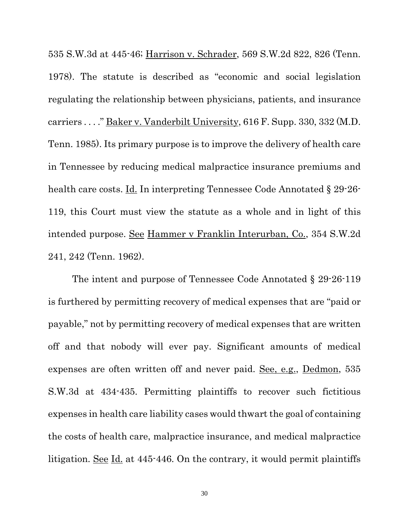535 S.W.3d at 445-46; Harrison v. Schrader, 569 S.W.2d 822, 826 (Tenn. 1978). The statute is described as "economic and social legislation regulating the relationship between physicians, patients, and insurance carriers . . . ." Baker v. Vanderbilt University, 616 F. Supp. 330, 332 (M.D. Tenn. 1985). Its primary purpose is to improve the delivery of health care in Tennessee by reducing medical malpractice insurance premiums and health care costs. <u>Id.</u> In interpreting Tennessee Code Annotated § 29-26-119, this Court must view the statute as a whole and in light of this intended purpose. See Hammer v Franklin Interurban, Co., 354 S.W.2d 241, 242 (Tenn. 1962).

The intent and purpose of Tennessee Code Annotated § 29-26-119 is furthered by permitting recovery of medical expenses that are "paid or payable," not by permitting recovery of medical expenses that are written off and that nobody will ever pay. Significant amounts of medical expenses are often written off and never paid. See, e.g., Dedmon, 535 S.W.3d at 434-435. Permitting plaintiffs to recover such fictitious expenses in health care liability cases would thwart the goal of containing the costs of health care, malpractice insurance, and medical malpractice litigation. See Id. at 445-446. On the contrary, it would permit plaintiffs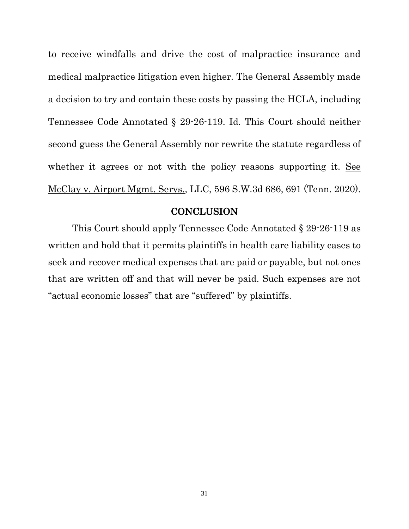to receive windfalls and drive the cost of malpractice insurance and medical malpractice litigation even higher. The General Assembly made a decision to try and contain these costs by passing the HCLA, including Tennessee Code Annotated § 29-26-119. Id. This Court should neither second guess the General Assembly nor rewrite the statute regardless of whether it agrees or not with the policy reasons supporting it. See McClay v. Airport Mgmt. Servs., LLC, 596 S.W.3d 686, 691 (Tenn. 2020).

### **CONCLUSION**

This Court should apply Tennessee Code Annotated § 29-26-119 as written and hold that it permits plaintiffs in health care liability cases to seek and recover medical expenses that are paid or payable, but not ones that are written off and that will never be paid. Such expenses are not "actual economic losses" that are "suffered" by plaintiffs.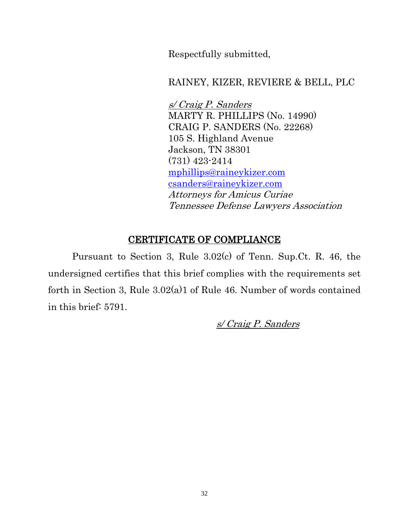Respectfully submitted,

## RAINEY, KIZER, REVIERE & BELL, PLC

s/ Craig P. Sanders MARTY R. PHILLIPS (No. 14990) CRAIG P. SANDERS (No. 22268) 105 S. Highland Avenue Jackson, TN 38301 (731) 423-2414 [mphillips@raineykizer.com](mailto:mphillips@raineykizer.com) [csanders@raineykizer.com](mailto:csanders@raineykizer.com) Attorneys for Amicus Curiae Tennessee Defense Lawyers Association

# CERTIFICATE OF COMPLIANCE

Pursuant to Section 3, Rule 3.02(c) of Tenn. Sup.Ct. R. 46, the undersigned certifies that this brief complies with the requirements set forth in Section 3, Rule 3.02(a)1 of Rule 46. Number of words contained in this brief: 5791.

s/ Craig P. Sanders